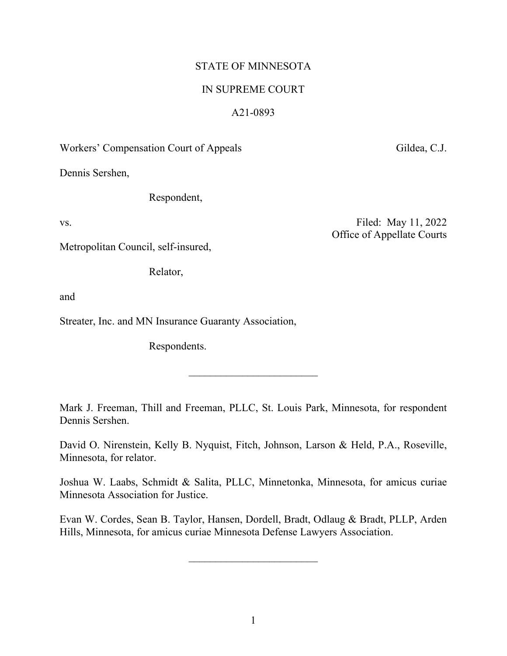## STATE OF MINNESOTA

## IN SUPREME COURT

## A21-0893

Workers' Compensation Court of Appeals Gildea, C.J.

Dennis Sershen,

Respondent,

vs. Filed: May 11, 2022 Office of Appellate Courts

Metropolitan Council, self-insured,

Relator,

and

Streater, Inc. and MN Insurance Guaranty Association,

Respondents.

Mark J. Freeman, Thill and Freeman, PLLC, St. Louis Park, Minnesota, for respondent Dennis Sershen.

 $\overline{\phantom{a}}$  , where  $\overline{\phantom{a}}$  , where  $\overline{\phantom{a}}$  , where  $\overline{\phantom{a}}$  , where  $\overline{\phantom{a}}$ 

David O. Nirenstein, Kelly B. Nyquist, Fitch, Johnson, Larson & Held, P.A., Roseville, Minnesota, for relator.

Joshua W. Laabs, Schmidt & Salita, PLLC, Minnetonka, Minnesota, for amicus curiae Minnesota Association for Justice.

Evan W. Cordes, Sean B. Taylor, Hansen, Dordell, Bradt, Odlaug & Bradt, PLLP, Arden Hills, Minnesota, for amicus curiae Minnesota Defense Lawyers Association.

 $\overline{\phantom{a}}$  , where  $\overline{\phantom{a}}$  , where  $\overline{\phantom{a}}$  , where  $\overline{\phantom{a}}$  ,  $\overline{\phantom{a}}$  ,  $\overline{\phantom{a}}$  ,  $\overline{\phantom{a}}$  ,  $\overline{\phantom{a}}$  ,  $\overline{\phantom{a}}$  ,  $\overline{\phantom{a}}$  ,  $\overline{\phantom{a}}$  ,  $\overline{\phantom{a}}$  ,  $\overline{\phantom{a}}$  ,  $\overline{\phantom{a}}$  ,  $\overline{\phantom$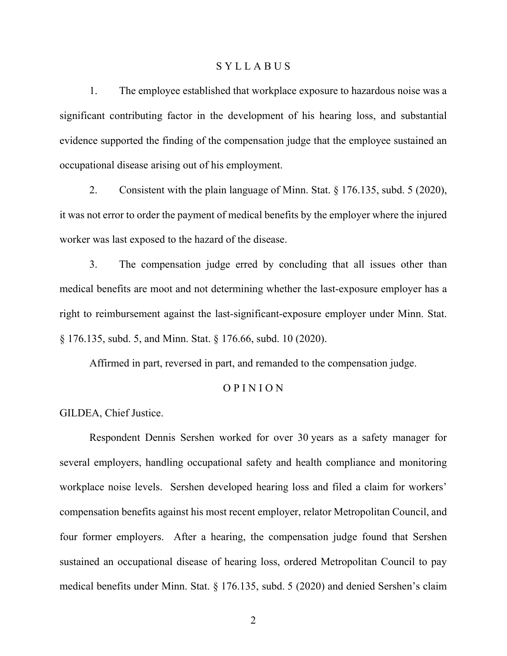### S Y L L A B U S

1. The employee established that workplace exposure to hazardous noise was a significant contributing factor in the development of his hearing loss, and substantial evidence supported the finding of the compensation judge that the employee sustained an occupational disease arising out of his employment.

2. Consistent with the plain language of Minn. Stat. § 176.135, subd. 5 (2020), it was not error to order the payment of medical benefits by the employer where the injured worker was last exposed to the hazard of the disease.

3. The compensation judge erred by concluding that all issues other than medical benefits are moot and not determining whether the last-exposure employer has a right to reimbursement against the last-significant-exposure employer under Minn. Stat. § 176.135, subd. 5, and Minn. Stat. § 176.66, subd. 10 (2020).

Affirmed in part, reversed in part, and remanded to the compensation judge.

## O P I N I O N

GILDEA, Chief Justice.

Respondent Dennis Sershen worked for over 30 years as a safety manager for several employers, handling occupational safety and health compliance and monitoring workplace noise levels. Sershen developed hearing loss and filed a claim for workers' compensation benefits against his most recent employer, relator Metropolitan Council, and four former employers. After a hearing, the compensation judge found that Sershen sustained an occupational disease of hearing loss, ordered Metropolitan Council to pay medical benefits under Minn. Stat. § 176.135, subd. 5 (2020) and denied Sershen's claim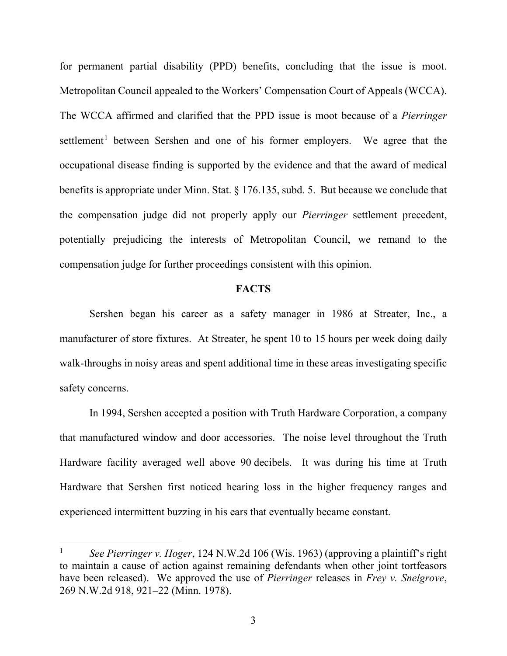for permanent partial disability (PPD) benefits, concluding that the issue is moot. Metropolitan Council appealed to the Workers' Compensation Court of Appeals (WCCA). The WCCA affirmed and clarified that the PPD issue is moot because of a *Pierringer*  settlement<sup>[1](#page-2-0)</sup> between Sershen and one of his former employers. We agree that the occupational disease finding is supported by the evidence and that the award of medical benefits is appropriate under Minn. Stat. § 176.135, subd. 5. But because we conclude that the compensation judge did not properly apply our *Pierringer* settlement precedent, potentially prejudicing the interests of Metropolitan Council, we remand to the compensation judge for further proceedings consistent with this opinion.

### **FACTS**

Sershen began his career as a safety manager in 1986 at Streater, Inc., a manufacturer of store fixtures. At Streater, he spent 10 to 15 hours per week doing daily walk-throughs in noisy areas and spent additional time in these areas investigating specific safety concerns.

In 1994, Sershen accepted a position with Truth Hardware Corporation, a company that manufactured window and door accessories. The noise level throughout the Truth Hardware facility averaged well above 90 decibels. It was during his time at Truth Hardware that Sershen first noticed hearing loss in the higher frequency ranges and experienced intermittent buzzing in his ears that eventually became constant.

<span id="page-2-0"></span><sup>1</sup> *See Pierringer v. Hoger*, 124 N.W.2d 106 (Wis. 1963) (approving a plaintiff's right to maintain a cause of action against remaining defendants when other joint tortfeasors have been released). We approved the use of *Pierringer* releases in *Frey v. Snelgrove*, 269 N.W.2d 918, 921–22 (Minn. 1978).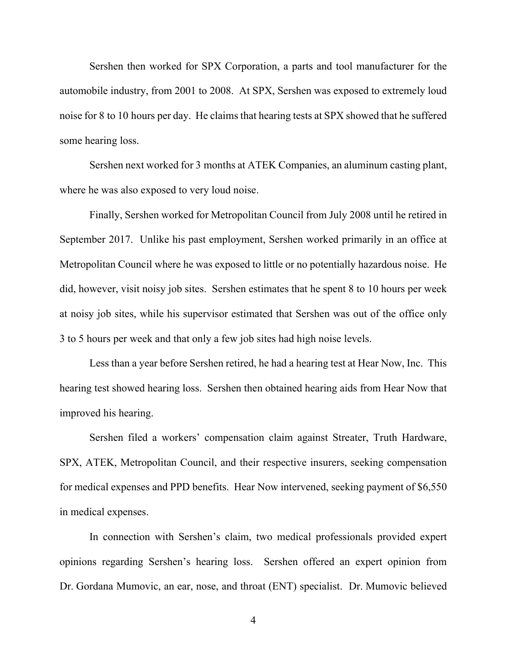Sershen then worked for SPX Corporation, a parts and tool manufacturer for the automobile industry, from 2001 to 2008. At SPX, Sershen was exposed to extremely loud noise for 8 to 10 hours per day. He claims that hearing tests at SPX showed that he suffered some hearing loss.

Sershen next worked for 3 months at ATEK Companies, an aluminum casting plant, where he was also exposed to very loud noise.

Finally, Sershen worked for Metropolitan Council from July 2008 until he retired in September 2017. Unlike his past employment, Sershen worked primarily in an office at Metropolitan Council where he was exposed to little or no potentially hazardous noise. He did, however, visit noisy job sites. Sershen estimates that he spent 8 to 10 hours per week at noisy job sites, while his supervisor estimated that Sershen was out of the office only 3 to 5 hours per week and that only a few job sites had high noise levels.

Less than a year before Sershen retired, he had a hearing test at Hear Now, Inc. This hearing test showed hearing loss. Sershen then obtained hearing aids from Hear Now that improved his hearing.

Sershen filed a workers' compensation claim against Streater, Truth Hardware, SPX, ATEK, Metropolitan Council, and their respective insurers, seeking compensation for medical expenses and PPD benefits. Hear Now intervened, seeking payment of \$6,550 in medical expenses.

In connection with Sershen's claim, two medical professionals provided expert opinions regarding Sershen's hearing loss. Sershen offered an expert opinion from Dr. Gordana Mumovic, an ear, nose, and throat (ENT) specialist. Dr. Mumovic believed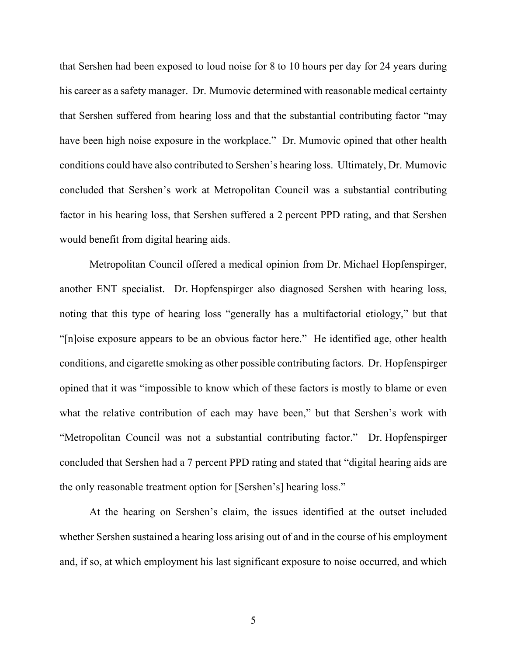that Sershen had been exposed to loud noise for 8 to 10 hours per day for 24 years during his career as a safety manager. Dr. Mumovic determined with reasonable medical certainty that Sershen suffered from hearing loss and that the substantial contributing factor "may have been high noise exposure in the workplace." Dr. Mumovic opined that other health conditions could have also contributed to Sershen's hearing loss. Ultimately, Dr. Mumovic concluded that Sershen's work at Metropolitan Council was a substantial contributing factor in his hearing loss, that Sershen suffered a 2 percent PPD rating, and that Sershen would benefit from digital hearing aids.

Metropolitan Council offered a medical opinion from Dr. Michael Hopfenspirger, another ENT specialist. Dr. Hopfenspirger also diagnosed Sershen with hearing loss, noting that this type of hearing loss "generally has a multifactorial etiology," but that "[n]oise exposure appears to be an obvious factor here." He identified age, other health conditions, and cigarette smoking as other possible contributing factors. Dr. Hopfenspirger opined that it was "impossible to know which of these factors is mostly to blame or even what the relative contribution of each may have been," but that Sershen's work with "Metropolitan Council was not a substantial contributing factor." Dr. Hopfenspirger concluded that Sershen had a 7 percent PPD rating and stated that "digital hearing aids are the only reasonable treatment option for [Sershen's] hearing loss."

At the hearing on Sershen's claim, the issues identified at the outset included whether Sershen sustained a hearing loss arising out of and in the course of his employment and, if so, at which employment his last significant exposure to noise occurred, and which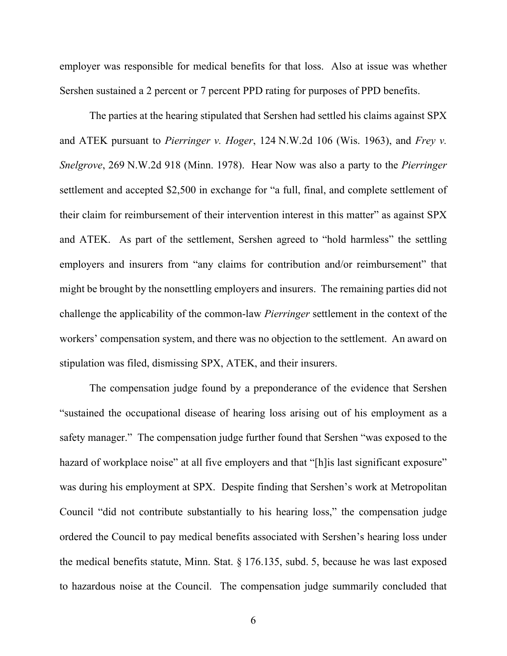employer was responsible for medical benefits for that loss. Also at issue was whether Sershen sustained a 2 percent or 7 percent PPD rating for purposes of PPD benefits.

The parties at the hearing stipulated that Sershen had settled his claims against SPX and ATEK pursuant to *Pierringer v. Hoger*, 124 N.W.2d 106 (Wis. 1963), and *Frey v. Snelgrove*, 269 N.W.2d 918 (Minn. 1978). Hear Now was also a party to the *Pierringer*  settlement and accepted \$2,500 in exchange for "a full, final, and complete settlement of their claim for reimbursement of their intervention interest in this matter" as against SPX and ATEK. As part of the settlement, Sershen agreed to "hold harmless" the settling employers and insurers from "any claims for contribution and/or reimbursement" that might be brought by the nonsettling employers and insurers. The remaining parties did not challenge the applicability of the common-law *Pierringer* settlement in the context of the workers' compensation system, and there was no objection to the settlement. An award on stipulation was filed, dismissing SPX, ATEK, and their insurers.

The compensation judge found by a preponderance of the evidence that Sershen "sustained the occupational disease of hearing loss arising out of his employment as a safety manager." The compensation judge further found that Sershen "was exposed to the hazard of workplace noise" at all five employers and that "[h] is last significant exposure" was during his employment at SPX. Despite finding that Sershen's work at Metropolitan Council "did not contribute substantially to his hearing loss," the compensation judge ordered the Council to pay medical benefits associated with Sershen's hearing loss under the medical benefits statute, Minn. Stat. § 176.135, subd. 5, because he was last exposed to hazardous noise at the Council. The compensation judge summarily concluded that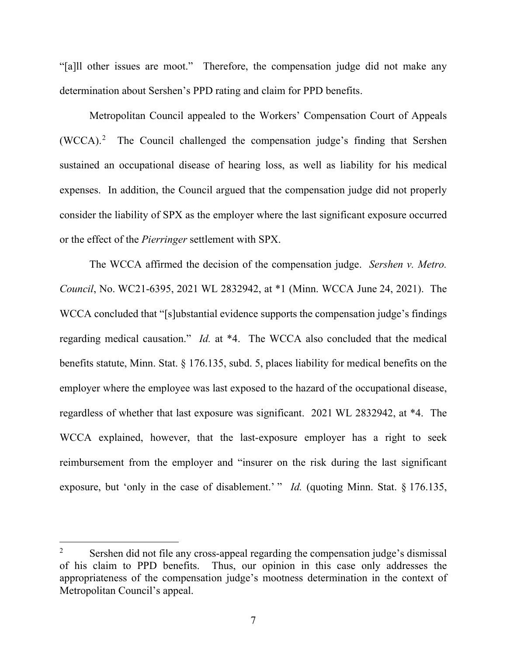"[a]ll other issues are moot." Therefore, the compensation judge did not make any determination about Sershen's PPD rating and claim for PPD benefits.

Metropolitan Council appealed to the Workers' Compensation Court of Appeals  $(WCCA).<sup>2</sup>$  $(WCCA).<sup>2</sup>$  $(WCCA).<sup>2</sup>$  The Council challenged the compensation judge's finding that Sershen sustained an occupational disease of hearing loss, as well as liability for his medical expenses. In addition, the Council argued that the compensation judge did not properly consider the liability of SPX as the employer where the last significant exposure occurred or the effect of the *Pierringer* settlement with SPX.

The WCCA affirmed the decision of the compensation judge. *Sershen v. Metro. Council*, No. WC21-6395, 2021 WL 2832942, at \*1 (Minn. WCCA June 24, 2021). The WCCA concluded that "[s]ubstantial evidence supports the compensation judge's findings regarding medical causation." *Id.* at \*4. The WCCA also concluded that the medical benefits statute, Minn. Stat. § 176.135, subd. 5, places liability for medical benefits on the employer where the employee was last exposed to the hazard of the occupational disease, regardless of whether that last exposure was significant. 2021 WL 2832942, at \*4. The WCCA explained, however, that the last-exposure employer has a right to seek reimbursement from the employer and "insurer on the risk during the last significant exposure, but 'only in the case of disablement.' " *Id.* (quoting Minn. Stat. § 176.135,

<span id="page-6-0"></span><sup>&</sup>lt;sup>2</sup> Sershen did not file any cross-appeal regarding the compensation judge's dismissal of his claim to PPD benefits. Thus, our opinion in this case only addresses the appropriateness of the compensation judge's mootness determination in the context of Metropolitan Council's appeal.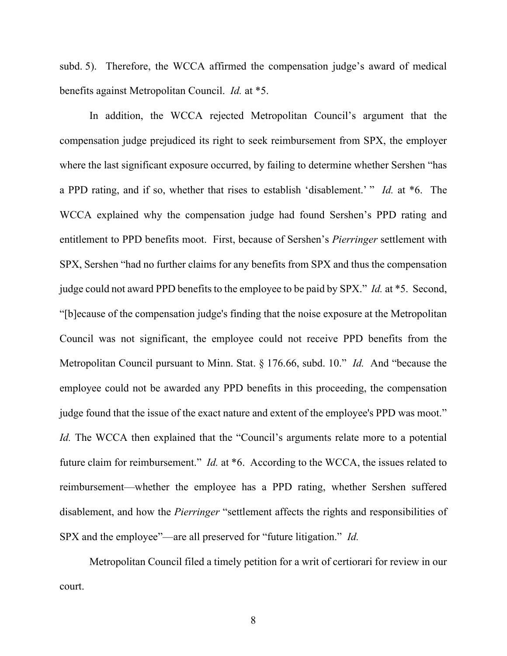subd. 5). Therefore, the WCCA affirmed the compensation judge's award of medical benefits against Metropolitan Council. *Id.* at \*5.

In addition, the WCCA rejected Metropolitan Council's argument that the compensation judge prejudiced its right to seek reimbursement from SPX, the employer where the last significant exposure occurred, by failing to determine whether Sershen "has a PPD rating, and if so, whether that rises to establish 'disablement.' " *Id.* at \*6. The WCCA explained why the compensation judge had found Sershen's PPD rating and entitlement to PPD benefits moot. First, because of Sershen's *Pierringer* settlement with SPX, Sershen "had no further claims for any benefits from SPX and thus the compensation judge could not award PPD benefits to the employee to be paid by SPX." *Id.* at \*5. Second, "[b]ecause of the compensation judge's finding that the noise exposure at the Metropolitan Council was not significant, the employee could not receive PPD benefits from the Metropolitan Council pursuant to Minn. Stat. § 176.66, subd. 10." *Id.* And "because the employee could not be awarded any PPD benefits in this proceeding, the compensation judge found that the issue of the exact nature and extent of the employee's PPD was moot." *Id.* The WCCA then explained that the "Council's arguments relate more to a potential future claim for reimbursement." *Id.* at \*6. According to the WCCA, the issues related to reimbursement—whether the employee has a PPD rating, whether Sershen suffered disablement, and how the *Pierringer* "settlement affects the rights and responsibilities of SPX and the employee"—are all preserved for "future litigation." *Id.*

Metropolitan Council filed a timely petition for a writ of certiorari for review in our court.

8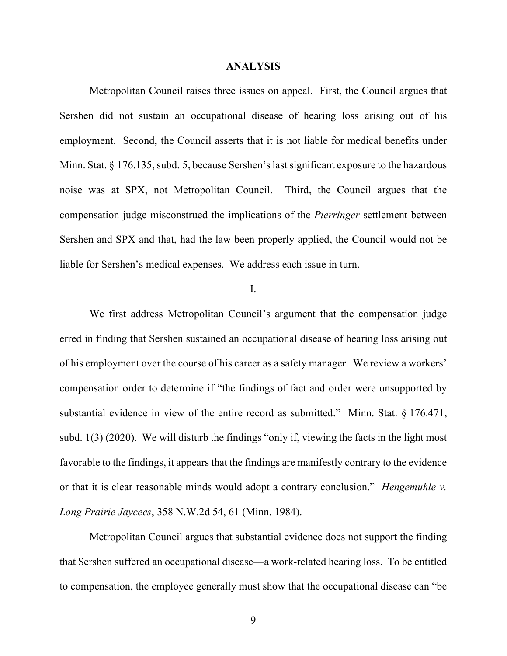#### **ANALYSIS**

Metropolitan Council raises three issues on appeal. First, the Council argues that Sershen did not sustain an occupational disease of hearing loss arising out of his employment. Second, the Council asserts that it is not liable for medical benefits under Minn. Stat. § 176.135, subd. 5, because Sershen's last significant exposure to the hazardous noise was at SPX, not Metropolitan Council. Third, the Council argues that the compensation judge misconstrued the implications of the *Pierringer* settlement between Sershen and SPX and that, had the law been properly applied, the Council would not be liable for Sershen's medical expenses. We address each issue in turn.

## I.

We first address Metropolitan Council's argument that the compensation judge erred in finding that Sershen sustained an occupational disease of hearing loss arising out of his employment over the course of his career as a safety manager. We review a workers' compensation order to determine if "the findings of fact and order were unsupported by substantial evidence in view of the entire record as submitted." Minn. Stat. § 176.471, subd. 1(3) (2020). We will disturb the findings "only if, viewing the facts in the light most favorable to the findings, it appears that the findings are manifestly contrary to the evidence or that it is clear reasonable minds would adopt a contrary conclusion." *Hengemuhle v. Long Prairie Jaycees*, 358 N.W.2d 54, 61 (Minn. 1984).

Metropolitan Council argues that substantial evidence does not support the finding that Sershen suffered an occupational disease—a work-related hearing loss. To be entitled to compensation, the employee generally must show that the occupational disease can "be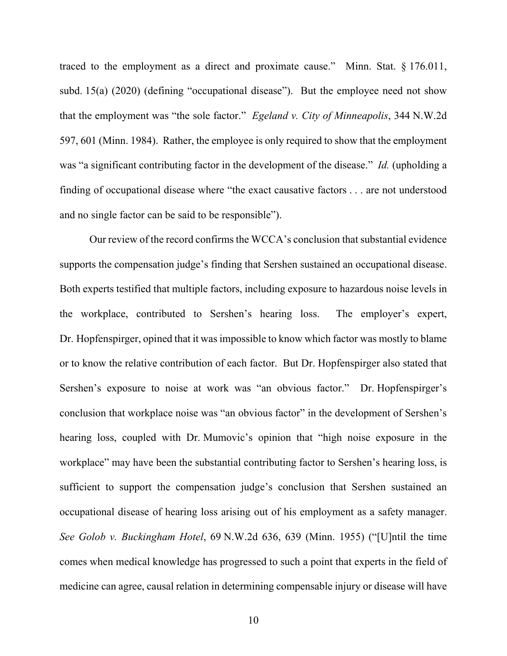traced to the employment as a direct and proximate cause." Minn. Stat. § 176.011, subd. 15(a) (2020) (defining "occupational disease"). But the employee need not show that the employment was "the sole factor." *Egeland v. City of Minneapolis*, 344 N.W.2d 597, 601 (Minn. 1984). Rather, the employee is only required to show that the employment was "a significant contributing factor in the development of the disease." *Id.* (upholding a finding of occupational disease where "the exact causative factors . . . are not understood and no single factor can be said to be responsible").

Our review of the record confirms the WCCA's conclusion that substantial evidence supports the compensation judge's finding that Sershen sustained an occupational disease. Both experts testified that multiple factors, including exposure to hazardous noise levels in the workplace, contributed to Sershen's hearing loss. The employer's expert, Dr. Hopfenspirger, opined that it was impossible to know which factor was mostly to blame or to know the relative contribution of each factor. But Dr. Hopfenspirger also stated that Sershen's exposure to noise at work was "an obvious factor." Dr. Hopfenspirger's conclusion that workplace noise was "an obvious factor" in the development of Sershen's hearing loss, coupled with Dr. Mumovic's opinion that "high noise exposure in the workplace" may have been the substantial contributing factor to Sershen's hearing loss, is sufficient to support the compensation judge's conclusion that Sershen sustained an occupational disease of hearing loss arising out of his employment as a safety manager. *See Golob v. Buckingham Hotel*, 69 N.W.2d 636, 639 (Minn. 1955) ("[U]ntil the time comes when medical knowledge has progressed to such a point that experts in the field of medicine can agree, causal relation in determining compensable injury or disease will have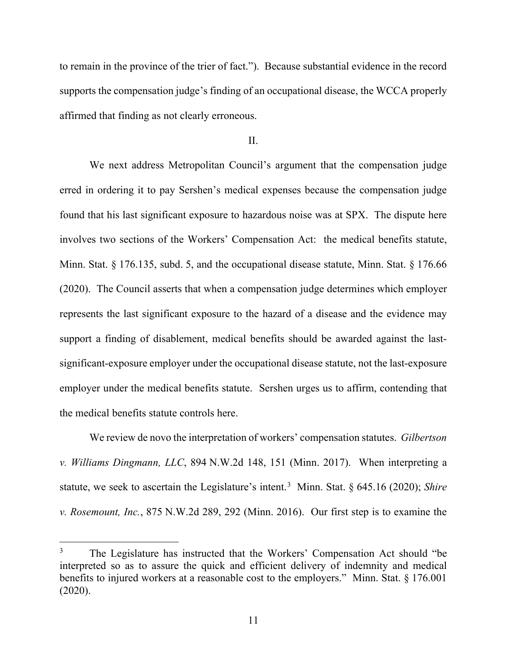to remain in the province of the trier of fact."). Because substantial evidence in the record supports the compensation judge's finding of an occupational disease, the WCCA properly affirmed that finding as not clearly erroneous.

#### II.

We next address Metropolitan Council's argument that the compensation judge erred in ordering it to pay Sershen's medical expenses because the compensation judge found that his last significant exposure to hazardous noise was at SPX. The dispute here involves two sections of the Workers' Compensation Act: the medical benefits statute, Minn. Stat. § 176.135, subd. 5, and the occupational disease statute, Minn. Stat. § 176.66 (2020). The Council asserts that when a compensation judge determines which employer represents the last significant exposure to the hazard of a disease and the evidence may support a finding of disablement, medical benefits should be awarded against the lastsignificant-exposure employer under the occupational disease statute, not the last-exposure employer under the medical benefits statute. Sershen urges us to affirm, contending that the medical benefits statute controls here.

We review de novo the interpretation of workers' compensation statutes. *Gilbertson v. Williams Dingmann, LLC*, 894 N.W.2d 148, 151 (Minn. 2017). When interpreting a statute, we seek to ascertain the Legislature's intent.<sup>[3](#page-10-0)</sup> Minn. Stat. § 645.16 (2020); *Shire v. Rosemount, Inc.*, 875 N.W.2d 289, 292 (Minn. 2016). Our first step is to examine the

<span id="page-10-0"></span><sup>&</sup>lt;sup>3</sup> The Legislature has instructed that the Workers' Compensation Act should "be interpreted so as to assure the quick and efficient delivery of indemnity and medical benefits to injured workers at a reasonable cost to the employers." Minn. Stat. § 176.001 (2020).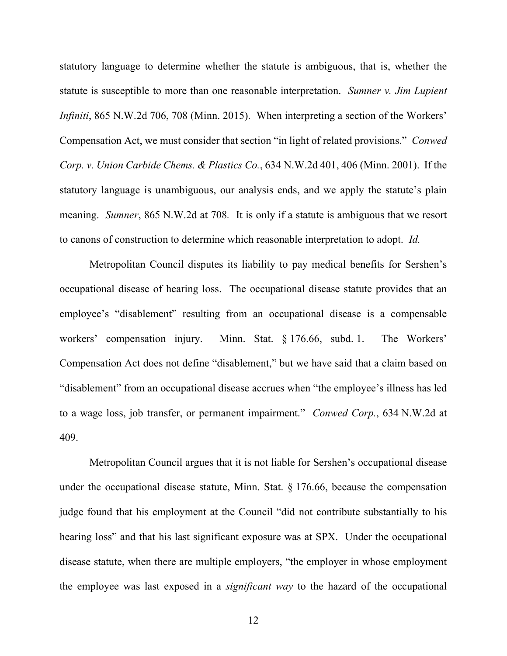statutory language to determine whether the statute is ambiguous, that is, whether the statute is susceptible to more than one reasonable interpretation. *Sumner v. Jim Lupient Infiniti*, 865 N.W.2d 706, 708 (Minn. 2015). When interpreting a section of the Workers' Compensation Act, we must consider that section "in light of related provisions." *Conwed Corp. v. Union Carbide Chems. & Plastics Co.*, 634 N.W.2d 401, 406 (Minn. 2001). If the statutory language is unambiguous, our analysis ends, and we apply the statute's plain meaning. *Sumner*, 865 N.W.2d at 708*.* It is only if a statute is ambiguous that we resort to canons of construction to determine which reasonable interpretation to adopt. *Id.*

Metropolitan Council disputes its liability to pay medical benefits for Sershen's occupational disease of hearing loss. The occupational disease statute provides that an employee's "disablement" resulting from an occupational disease is a compensable workers' compensation injury. Minn. Stat. § 176.66, subd. 1. The Workers' Compensation Act does not define "disablement," but we have said that a claim based on "disablement" from an occupational disease accrues when "the employee's illness has led to a wage loss, job transfer, or permanent impairment." *Conwed Corp.*, 634 N.W.2d at 409.

Metropolitan Council argues that it is not liable for Sershen's occupational disease under the occupational disease statute, Minn. Stat. § 176.66, because the compensation judge found that his employment at the Council "did not contribute substantially to his hearing loss" and that his last significant exposure was at SPX. Under the occupational disease statute, when there are multiple employers, "the employer in whose employment the employee was last exposed in a *significant way* to the hazard of the occupational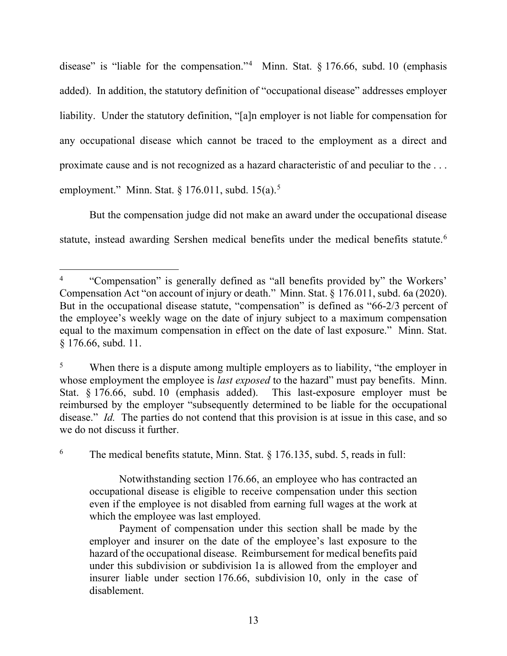disease" is "liable for the compensation."<sup>[4](#page-12-0)</sup> Minn. Stat.  $\S 176.66$ , subd. 10 (emphasis added). In addition, the statutory definition of "occupational disease" addresses employer liability. Under the statutory definition, "[a]n employer is not liable for compensation for any occupational disease which cannot be traced to the employment as a direct and proximate cause and is not recognized as a hazard characteristic of and peculiar to the . . . employment." Minn. Stat.  $\S 176.011$ , subd.  $15(a)$  $15(a)$  $15(a)$ .<sup>5</sup>

But the compensation judge did not make an award under the occupational disease statute, instead awarding Sershen medical benefits under the medical benefits statute.<sup>[6](#page-12-2)</sup>

<span id="page-12-2"></span><sup>6</sup> The medical benefits statute, Minn. Stat.  $\S$  176.135, subd. 5, reads in full:

Notwithstanding section 176.66, an employee who has contracted an occupational disease is eligible to receive compensation under this section even if the employee is not disabled from earning full wages at the work at which the employee was last employed.

Payment of compensation under this section shall be made by the employer and insurer on the date of the employee's last exposure to the hazard of the occupational disease. Reimbursement for medical benefits paid under this subdivision or subdivision 1a is allowed from the employer and insurer liable under section 176.66, subdivision 10, only in the case of disablement.

<span id="page-12-0"></span><sup>&</sup>lt;sup>4</sup> "Compensation" is generally defined as "all benefits provided by" the Workers' Compensation Act "on account of injury or death." Minn. Stat. § 176.011, subd. 6a (2020). But in the occupational disease statute, "compensation" is defined as "66-2/3 percent of the employee's weekly wage on the date of injury subject to a maximum compensation equal to the maximum compensation in effect on the date of last exposure." Minn. Stat. § 176.66, subd. 11.

<span id="page-12-1"></span><sup>&</sup>lt;sup>5</sup> When there is a dispute among multiple employers as to liability, "the employer in whose employment the employee is *last exposed* to the hazard" must pay benefits. Minn. Stat. § 176.66, subd. 10 (emphasis added). This last-exposure employer must be reimbursed by the employer "subsequently determined to be liable for the occupational disease." *Id.* The parties do not contend that this provision is at issue in this case, and so we do not discuss it further.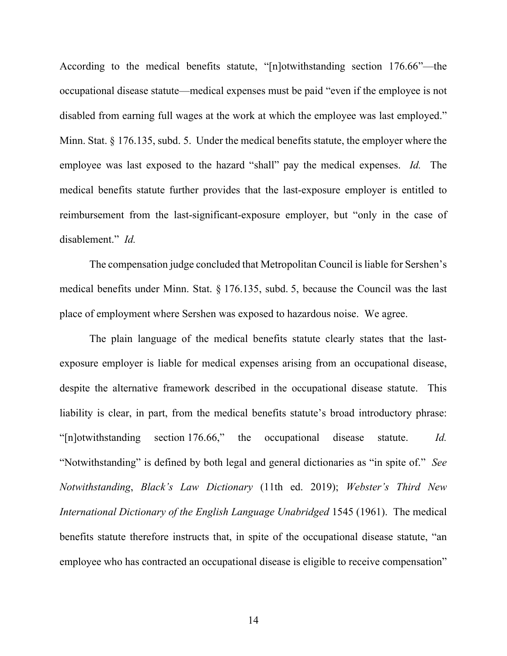According to the medical benefits statute, "[n]otwithstanding section 176.66"—the occupational disease statute—medical expenses must be paid "even if the employee is not disabled from earning full wages at the work at which the employee was last employed." Minn. Stat. § 176.135, subd. 5. Under the medical benefits statute, the employer where the employee was last exposed to the hazard "shall" pay the medical expenses. *Id.* The medical benefits statute further provides that the last-exposure employer is entitled to reimbursement from the last-significant-exposure employer, but "only in the case of disablement." *Id.*

The compensation judge concluded that Metropolitan Council is liable for Sershen's medical benefits under Minn. Stat. § 176.135, subd. 5, because the Council was the last place of employment where Sershen was exposed to hazardous noise. We agree.

The plain language of the medical benefits statute clearly states that the lastexposure employer is liable for medical expenses arising from an occupational disease, despite the alternative framework described in the occupational disease statute. This liability is clear, in part, from the medical benefits statute's broad introductory phrase: "[n]otwithstanding section 176.66," the occupational disease statute. *Id.*  "Notwithstanding" is defined by both legal and general dictionaries as "in spite of." *See Notwithstanding*, *Black's Law Dictionary* (11th ed. 2019); *Webster's Third New International Dictionary of the English Language Unabridged* 1545 (1961). The medical benefits statute therefore instructs that, in spite of the occupational disease statute, "an employee who has contracted an occupational disease is eligible to receive compensation"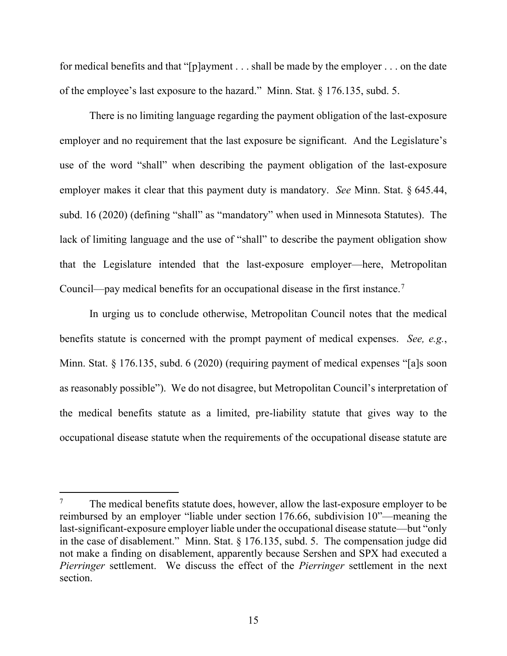for medical benefits and that "[p]ayment . . . shall be made by the employer . . . on the date of the employee's last exposure to the hazard." Minn. Stat. § 176.135, subd. 5.

There is no limiting language regarding the payment obligation of the last-exposure employer and no requirement that the last exposure be significant. And the Legislature's use of the word "shall" when describing the payment obligation of the last-exposure employer makes it clear that this payment duty is mandatory. *See* Minn. Stat. § 645.44, subd. 16 (2020) (defining "shall" as "mandatory" when used in Minnesota Statutes). The lack of limiting language and the use of "shall" to describe the payment obligation show that the Legislature intended that the last-exposure employer—here, Metropolitan Council—pay medical benefits for an occupational disease in the first instance.[7](#page-14-0)

In urging us to conclude otherwise, Metropolitan Council notes that the medical benefits statute is concerned with the prompt payment of medical expenses. *See, e.g.*, Minn. Stat. § 176.135, subd. 6 (2020) (requiring payment of medical expenses "[a]s soon as reasonably possible"). We do not disagree, but Metropolitan Council's interpretation of the medical benefits statute as a limited, pre-liability statute that gives way to the occupational disease statute when the requirements of the occupational disease statute are

<span id="page-14-0"></span>The medical benefits statute does, however, allow the last-exposure employer to be reimbursed by an employer "liable under section 176.66, subdivision 10"—meaning the last-significant-exposure employer liable under the occupational disease statute—but "only in the case of disablement." Minn. Stat. § 176.135, subd. 5. The compensation judge did not make a finding on disablement, apparently because Sershen and SPX had executed a *Pierringer* settlement. We discuss the effect of the *Pierringer* settlement in the next section.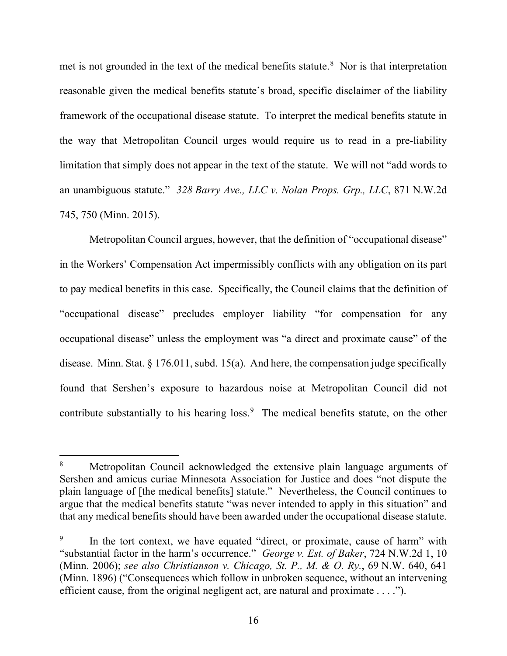met is not grounded in the text of the medical benefits statute.<sup>[8](#page-15-0)</sup> Nor is that interpretation reasonable given the medical benefits statute's broad, specific disclaimer of the liability framework of the occupational disease statute. To interpret the medical benefits statute in the way that Metropolitan Council urges would require us to read in a pre-liability limitation that simply does not appear in the text of the statute. We will not "add words to an unambiguous statute." *328 Barry Ave., LLC v. Nolan Props. Grp., LLC*, 871 N.W.2d 745, 750 (Minn. 2015).

Metropolitan Council argues, however, that the definition of "occupational disease" in the Workers' Compensation Act impermissibly conflicts with any obligation on its part to pay medical benefits in this case. Specifically, the Council claims that the definition of "occupational disease" precludes employer liability "for compensation for any occupational disease" unless the employment was "a direct and proximate cause" of the disease.Minn. Stat. § 176.011, subd. 15(a). And here, the compensation judge specifically found that Sershen's exposure to hazardous noise at Metropolitan Council did not contribute substantially to his hearing loss. $9$  The medical benefits statute, on the other

<span id="page-15-0"></span><sup>8</sup> Metropolitan Council acknowledged the extensive plain language arguments of Sershen and amicus curiae Minnesota Association for Justice and does "not dispute the plain language of [the medical benefits] statute." Nevertheless, the Council continues to argue that the medical benefits statute "was never intended to apply in this situation" and that any medical benefits should have been awarded under the occupational disease statute.

<span id="page-15-1"></span><sup>&</sup>lt;sup>9</sup> In the tort context, we have equated "direct, or proximate, cause of harm" with "substantial factor in the harm's occurrence." *George v. Est. of Baker*, 724 N.W.2d 1, 10 (Minn. 2006); *see also Christianson v. Chicago, St. P., M. & O. Ry.*, 69 N.W. 640, 641 (Minn. 1896) ("Consequences which follow in unbroken sequence, without an intervening efficient cause, from the original negligent act, are natural and proximate . . . .").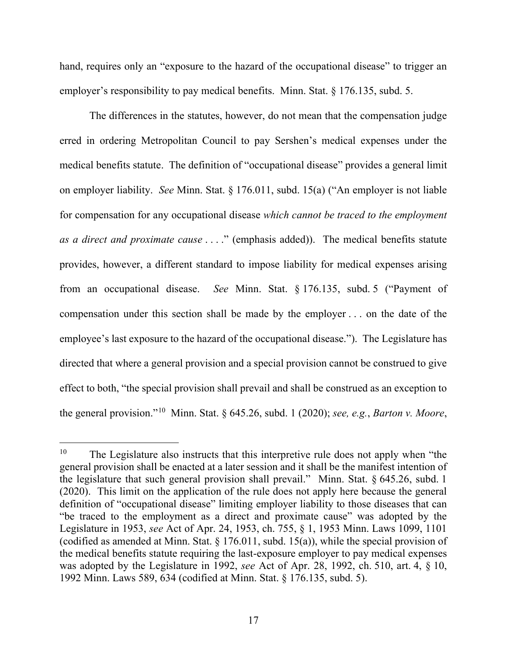hand, requires only an "exposure to the hazard of the occupational disease" to trigger an employer's responsibility to pay medical benefits. Minn. Stat. § 176.135, subd. 5.

The differences in the statutes, however, do not mean that the compensation judge erred in ordering Metropolitan Council to pay Sershen's medical expenses under the medical benefits statute. The definition of "occupational disease" provides a general limit on employer liability. *See* Minn. Stat. § 176.011, subd. 15(a) ("An employer is not liable for compensation for any occupational disease *which cannot be traced to the employment as a direct and proximate cause* . . . ." (emphasis added)). The medical benefits statute provides, however, a different standard to impose liability for medical expenses arising from an occupational disease. *See* Minn. Stat. § 176.135, subd. 5 ("Payment of compensation under this section shall be made by the employer . . . on the date of the employee's last exposure to the hazard of the occupational disease."). The Legislature has directed that where a general provision and a special provision cannot be construed to give effect to both, "the special provision shall prevail and shall be construed as an exception to the general provision."[10](#page-16-0) Minn. Stat. § 645.26, subd. 1 (2020); *see, e.g.*, *Barton v. Moore*,

<span id="page-16-0"></span> $10$  The Legislature also instructs that this interpretive rule does not apply when "the general provision shall be enacted at a later session and it shall be the manifest intention of the legislature that such general provision shall prevail." Minn. Stat. § 645.26, subd. 1 (2020). This limit on the application of the rule does not apply here because the general definition of "occupational disease" limiting employer liability to those diseases that can "be traced to the employment as a direct and proximate cause" was adopted by the Legislature in 1953, *see* Act of Apr. 24, 1953, ch. 755, § 1, 1953 Minn. Laws 1099, 1101 (codified as amended at Minn. Stat. § 176.011, subd. 15(a)), while the special provision of the medical benefits statute requiring the last-exposure employer to pay medical expenses was adopted by the Legislature in 1992, *see* Act of Apr. 28, 1992, ch. 510, art. 4, § 10, 1992 Minn. Laws 589, 634 (codified at Minn. Stat. § 176.135, subd. 5).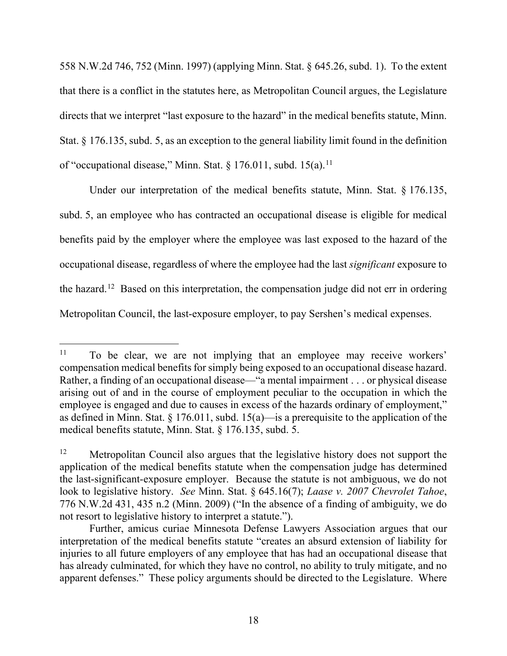558 N.W.2d 746, 752 (Minn. 1997) (applying Minn. Stat. § 645.26, subd. 1). To the extent that there is a conflict in the statutes here, as Metropolitan Council argues, the Legislature directs that we interpret "last exposure to the hazard" in the medical benefits statute, Minn. Stat. § 176.135, subd. 5, as an exception to the general liability limit found in the definition of "occupational disease," Minn. Stat. § 176.0[11](#page-17-0), subd. 15(a).<sup>11</sup>

Under our interpretation of the medical benefits statute, Minn. Stat. § 176.135, subd. 5, an employee who has contracted an occupational disease is eligible for medical benefits paid by the employer where the employee was last exposed to the hazard of the occupational disease, regardless of where the employee had the last *significant* exposure to the hazard.[12](#page-17-1) Based on this interpretation, the compensation judge did not err in ordering Metropolitan Council, the last-exposure employer, to pay Sershen's medical expenses.

<span id="page-17-0"></span><sup>&</sup>lt;sup>11</sup> To be clear, we are not implying that an employee may receive workers' compensation medical benefits for simply being exposed to an occupational disease hazard. Rather, a finding of an occupational disease—"a mental impairment . . . or physical disease arising out of and in the course of employment peculiar to the occupation in which the employee is engaged and due to causes in excess of the hazards ordinary of employment," as defined in Minn. Stat.  $\S 176.011$ , subd.  $15(a)$ —is a prerequisite to the application of the medical benefits statute, Minn. Stat. § 176.135, subd. 5.

<span id="page-17-1"></span><sup>&</sup>lt;sup>12</sup> Metropolitan Council also argues that the legislative history does not support the application of the medical benefits statute when the compensation judge has determined the last-significant-exposure employer. Because the statute is not ambiguous, we do not look to legislative history. *See* Minn. Stat. § 645.16(7); *Laase v. 2007 Chevrolet Tahoe*, 776 N.W.2d 431, 435 n.2 (Minn. 2009) ("In the absence of a finding of ambiguity, we do not resort to legislative history to interpret a statute.").

Further, amicus curiae Minnesota Defense Lawyers Association argues that our interpretation of the medical benefits statute "creates an absurd extension of liability for injuries to all future employers of any employee that has had an occupational disease that has already culminated, for which they have no control, no ability to truly mitigate, and no apparent defenses." These policy arguments should be directed to the Legislature. Where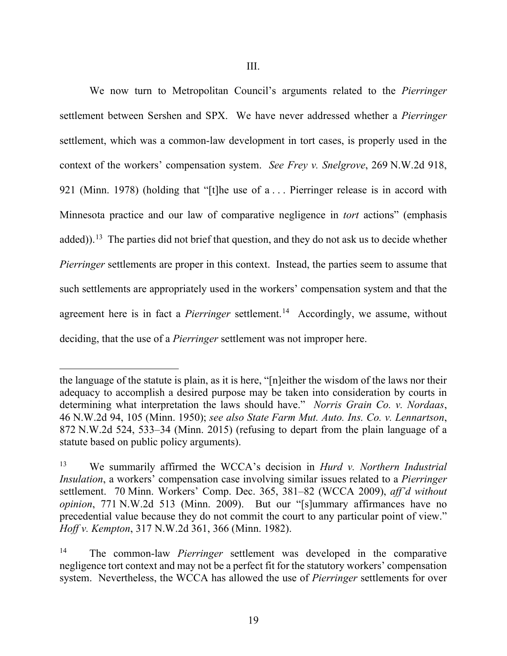We now turn to Metropolitan Council's arguments related to the *Pierringer*  settlement between Sershen and SPX. We have never addressed whether a *Pierringer*  settlement, which was a common-law development in tort cases, is properly used in the context of the workers' compensation system. *See Frey v. Snelgrove*, 269 N.W.2d 918, 921 (Minn. 1978) (holding that "[t]he use of a . . . Pierringer release is in accord with Minnesota practice and our law of comparative negligence in *tort* actions" (emphasis added)).<sup>[13](#page-18-0)</sup> The parties did not brief that question, and they do not ask us to decide whether *Pierringer* settlements are proper in this context. Instead, the parties seem to assume that such settlements are appropriately used in the workers' compensation system and that the agreement here is in fact a *Pierringer* settlement.<sup>[14](#page-18-1)</sup> Accordingly, we assume, without deciding, that the use of a *Pierringer* settlement was not improper here.

the language of the statute is plain, as it is here, "[n]either the wisdom of the laws nor their adequacy to accomplish a desired purpose may be taken into consideration by courts in determining what interpretation the laws should have." *Norris Grain Co. v. Nordaas*, 46 N.W.2d 94, 105 (Minn. 1950); *see also State Farm Mut. Auto. Ins. Co. v. Lennartson*, 872 N.W.2d 524, 533–34 (Minn. 2015) (refusing to depart from the plain language of a statute based on public policy arguments).

<span id="page-18-0"></span><sup>13</sup> We summarily affirmed the WCCA's decision in *Hurd v. Northern Industrial Insulation*, a workers' compensation case involving similar issues related to a *Pierringer*  settlement. 70 Minn. Workers' Comp. Dec. 365, 381–82 (WCCA 2009), *aff'd without opinion*, 771 N.W.2d 513 (Minn. 2009). But our "[s]ummary affirmances have no precedential value because they do not commit the court to any particular point of view." *Hoff v. Kempton*, 317 N.W.2d 361, 366 (Minn. 1982).

<span id="page-18-1"></span><sup>14</sup> The common-law *Pierringer* settlement was developed in the comparative negligence tort context and may not be a perfect fit for the statutory workers' compensation system. Nevertheless, the WCCA has allowed the use of *Pierringer* settlements for over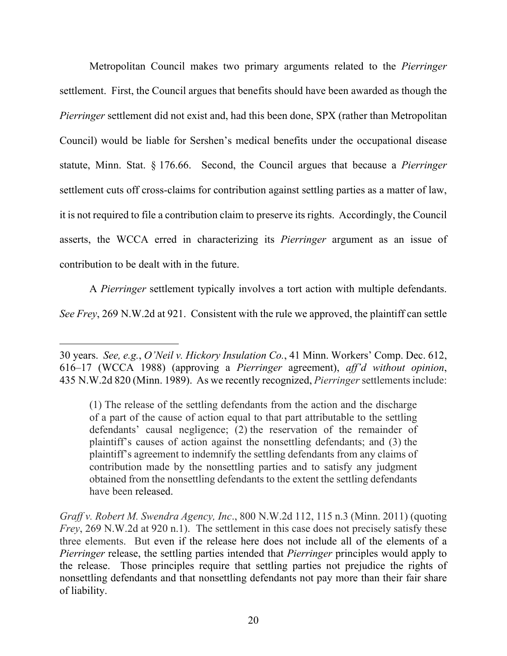Metropolitan Council makes two primary arguments related to the *Pierringer*  settlement. First, the Council argues that benefits should have been awarded as though the *Pierringer* settlement did not exist and, had this been done, SPX (rather than Metropolitan Council) would be liable for Sershen's medical benefits under the occupational disease statute, Minn. Stat. § 176.66. Second, the Council argues that because a *Pierringer*  settlement cuts off cross-claims for contribution against settling parties as a matter of law, it is not required to file a contribution claim to preserve its rights. Accordingly, the Council asserts, the WCCA erred in characterizing its *Pierringer* argument as an issue of contribution to be dealt with in the future.

A *Pierringer* settlement typically involves a tort action with multiple defendants.

*See Frey*, 269 N.W.2d at 921. Consistent with the rule we approved, the plaintiff can settle

<sup>30</sup> years. *See, e.g.*, *O'Neil v. Hickory Insulation Co.*, 41 Minn. Workers' Comp. Dec. 612, 616–17 (WCCA 1988) (approving a *Pierringer* agreement), *aff'd without opinion*, 435 N.W.2d 820 (Minn. 1989). As we recently recognized, *Pierringer* settlements include:

<sup>(1)</sup> The release of the settling defendants from the action and the discharge of a part of the cause of action equal to that part attributable to the settling defendants' causal negligence; (2) the reservation of the remainder of plaintiff's causes of action against the nonsettling defendants; and (3) the plaintiff's agreement to indemnify the settling defendants from any claims of contribution made by the nonsettling parties and to satisfy any judgment obtained from the nonsettling defendants to the extent the settling defendants have been released.

*Graff v. Robert M. Swendra Agency, Inc*., 800 N.W.2d 112, 115 n.3 (Minn. 2011) (quoting *Frey*, 269 N.W.2d at 920 n.1). The settlement in this case does not precisely satisfy these three elements. But even if the release here does not include all of the elements of a *Pierringer* release, the settling parties intended that *Pierringer* principles would apply to the release. Those principles require that settling parties not prejudice the rights of nonsettling defendants and that nonsettling defendants not pay more than their fair share of liability.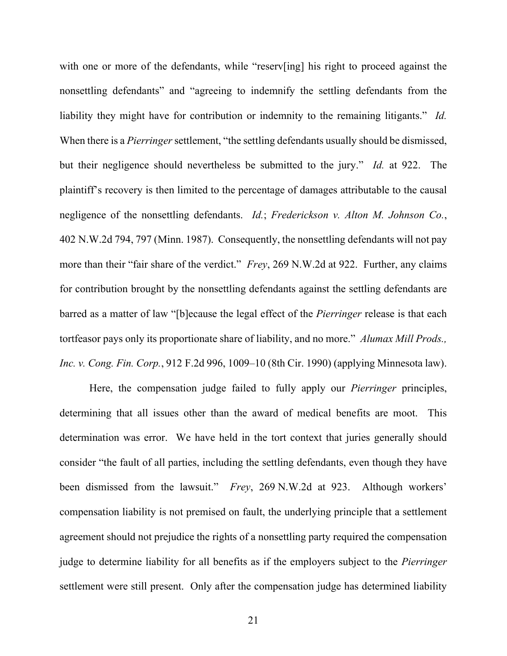with one or more of the defendants, while "reserv[ing] his right to proceed against the nonsettling defendants" and "agreeing to indemnify the settling defendants from the liability they might have for contribution or indemnity to the remaining litigants." *Id.* When there is a *Pierringer* settlement, "the settling defendants usually should be dismissed, but their negligence should nevertheless be submitted to the jury." *Id.* at 922. The plaintiff's recovery is then limited to the percentage of damages attributable to the causal negligence of the nonsettling defendants. *Id.*; *Frederickson v. Alton M. Johnson Co.*, 402 N.W.2d 794, 797 (Minn. 1987). Consequently, the nonsettling defendants will not pay more than their "fair share of the verdict." *Frey*, 269 N.W.2d at 922. Further, any claims for contribution brought by the nonsettling defendants against the settling defendants are barred as a matter of law "[b]ecause the legal effect of the *Pierringer* release is that each tortfeasor pays only its proportionate share of liability, and no more." *Alumax Mill Prods., Inc. v. Cong. Fin. Corp.*, 912 F.2d 996, 1009–10 (8th Cir. 1990) (applying Minnesota law).

Here, the compensation judge failed to fully apply our *Pierringer* principles, determining that all issues other than the award of medical benefits are moot. This determination was error. We have held in the tort context that juries generally should consider "the fault of all parties, including the settling defendants, even though they have been dismissed from the lawsuit." *Frey*, 269 N.W.2d at 923. Although workers' compensation liability is not premised on fault, the underlying principle that a settlement agreement should not prejudice the rights of a nonsettling party required the compensation judge to determine liability for all benefits as if the employers subject to the *Pierringer*  settlement were still present. Only after the compensation judge has determined liability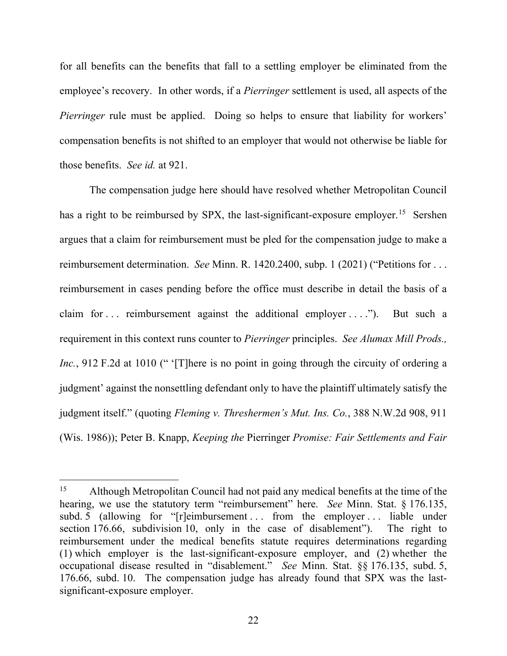for all benefits can the benefits that fall to a settling employer be eliminated from the employee's recovery. In other words, if a *Pierringer* settlement is used, all aspects of the *Pierringer* rule must be applied. Doing so helps to ensure that liability for workers' compensation benefits is not shifted to an employer that would not otherwise be liable for those benefits. *See id.* at 921.

The compensation judge here should have resolved whether Metropolitan Council has a right to be reimbursed by SPX, the last-significant-exposure employer.<sup>[15](#page-21-0)</sup> Sershen argues that a claim for reimbursement must be pled for the compensation judge to make a reimbursement determination. *See* Minn. R. 1420.2400, subp. 1 (2021) ("Petitions for . . . reimbursement in cases pending before the office must describe in detail the basis of a claim for ... reimbursement against the additional employer ...."). But such a requirement in this context runs counter to *Pierringer* principles. *See Alumax Mill Prods., Inc.*, 912 F.2d at 1010 (" '[T]here is no point in going through the circuity of ordering a judgment' against the nonsettling defendant only to have the plaintiff ultimately satisfy the judgment itself." (quoting *Fleming v. Threshermen's Mut. Ins. Co.*, 388 N.W.2d 908, 911 (Wis. 1986)); Peter B. Knapp, *Keeping the* Pierringer *Promise: Fair Settlements and Fair* 

<span id="page-21-0"></span><sup>&</sup>lt;sup>15</sup> Although Metropolitan Council had not paid any medical benefits at the time of the hearing, we use the statutory term "reimbursement" here. *See* Minn. Stat. § 176.135, subd. 5 (allowing for " $[r]$ eimbursement ... from the employer ... liable under section 176.66, subdivision 10, only in the case of disablement"). The right to reimbursement under the medical benefits statute requires determinations regarding (1) which employer is the last-significant-exposure employer, and (2) whether the occupational disease resulted in "disablement." *See* Minn. Stat. §§ 176.135, subd. 5, 176.66, subd. 10. The compensation judge has already found that SPX was the lastsignificant-exposure employer.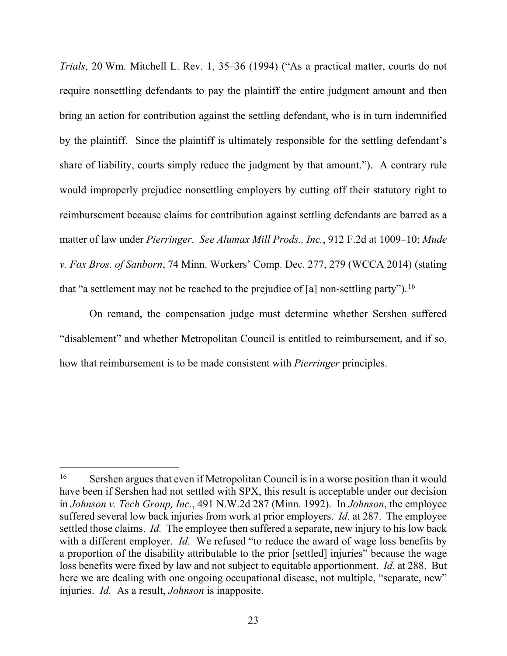*Trials*, 20 Wm. Mitchell L. Rev. 1, 35–36 (1994) ("As a practical matter, courts do not require nonsettling defendants to pay the plaintiff the entire judgment amount and then bring an action for contribution against the settling defendant, who is in turn indemnified by the plaintiff. Since the plaintiff is ultimately responsible for the settling defendant's share of liability, courts simply reduce the judgment by that amount."). A contrary rule would improperly prejudice nonsettling employers by cutting off their statutory right to reimbursement because claims for contribution against settling defendants are barred as a matter of law under *Pierringer*. *See Alumax Mill Prods., Inc.*, 912 F.2d at 1009–10; *Mude v. Fox Bros. of Sanborn*, 74 Minn. Workers' Comp. Dec. 277, 279 (WCCA 2014) (stating that "a settlement may not be reached to the prejudice of [a] non-settling party"). <sup>[16](#page-22-0)</sup>

On remand, the compensation judge must determine whether Sershen suffered "disablement" and whether Metropolitan Council is entitled to reimbursement, and if so, how that reimbursement is to be made consistent with *Pierringer* principles.

<span id="page-22-0"></span><sup>&</sup>lt;sup>16</sup> Sershen argues that even if Metropolitan Council is in a worse position than it would have been if Sershen had not settled with SPX, this result is acceptable under our decision in *Johnson v. Tech Group, Inc.*, 491 N.W.2d 287 (Minn. 1992). In *Johnson*, the employee suffered several low back injuries from work at prior employers. *Id.* at 287. The employee settled those claims. *Id.* The employee then suffered a separate, new injury to his low back with a different employer. *Id.* We refused "to reduce the award of wage loss benefits by a proportion of the disability attributable to the prior [settled] injuries" because the wage loss benefits were fixed by law and not subject to equitable apportionment. *Id.* at 288. But here we are dealing with one ongoing occupational disease, not multiple, "separate, new" injuries. *Id.* As a result, *Johnson* is inapposite.